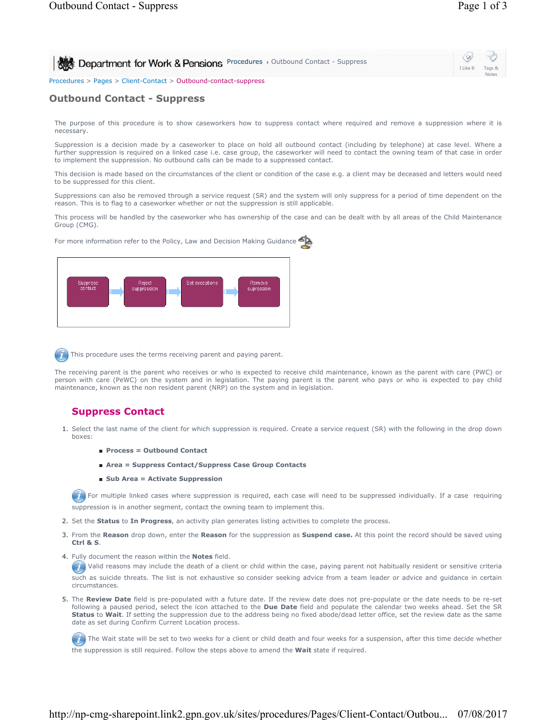| Department for Work & Pensions Procedures > Outbound Contact - Suppress | I Like It | 40<br>Tags &<br>Notes |
|-------------------------------------------------------------------------|-----------|-----------------------|
| Procedures > Pages > Client-Contact > Outbound-contact-suppress         |           |                       |

## **Outbound Contact - Suppress**

The purpose of this procedure is to show caseworkers how to suppress contact where required and remove a suppression where it is necessary.

Suppression is a decision made by a caseworker to place on hold all outbound contact (including by telephone) at case level. Where a further suppression is required on a linked case i.e. case group, the caseworker will need to contact the owning team of that case in order to implement the suppression. No outbound calls can be made to a suppressed contact.

This decision is made based on the circumstances of the client or condition of the case e.g. a client may be deceased and letters would need to be suppressed for this client.

Suppressions can also be removed through a service request (SR) and the system will only suppress for a period of time dependent on the reason. This is to flag to a caseworker whether or not the suppression is still applicable.

This process will be handled by the caseworker who has ownership of the case and can be dealt with by all areas of the Child Maintenance Group (CMG).

For more information refer to the Policy, Law and Decision Making Guidance



This procedure uses the terms receiving parent and paying parent.

The receiving parent is the parent who receives or who is expected to receive child maintenance, known as the parent with care (PWC) or person with care (PeWC) on the system and in legislation. The paying parent is the parent who pays or who is expected to pay child maintenance, known as the non resident parent (NRP) on the system and in legislation.

# **Suppress Contact**

- 1. Select the last name of the client for which suppression is required. Create a service request (SR) with the following in the drop down boxes:
	- **Process = Outbound Contact**
	- **Area = Suppress Contact/Suppress Case Group Contacts**
	- **Sub Area = Activate Suppression**

For multiple linked cases where suppression is required, each case will need to be suppressed individually. If a case requiring suppression is in another segment, contact the owning team to implement this.

- 2. Set the **Status** to **In Progress**, an activity plan generates listing activities to complete the process.
- From the **Reason** drop down, enter the **Reason** for the suppression as **Suspend case.** At this point the record should be saved using 3. **Ctrl & S**.
- 4. Fully document the reason within the **Notes** field.

 $(7)$  Valid reasons may include the death of a client or child within the case, paying parent not habitually resident or sensitive criteria such as suicide threats. The list is not exhaustive so consider seeking advice from a team leader or advice and guidance in certain circumstances.

5. The Review Date field is pre-populated with a future date. If the review date does not pre-populate or the date needs to be re-set following a paused period, select the icon attached to the **Due Date** field and populate the calendar two weeks ahead. Set the SR **Status** to **Wait**. If setting the suppression due to the address being no fixed abode/dead letter office, set the review date as the same date as set during Confirm Current Location process.

The Wait state will be set to two weeks for a client or child death and four weeks for a suspension, after this time decide whether the suppression is still required. Follow the steps above to amend the **Wait** state if required.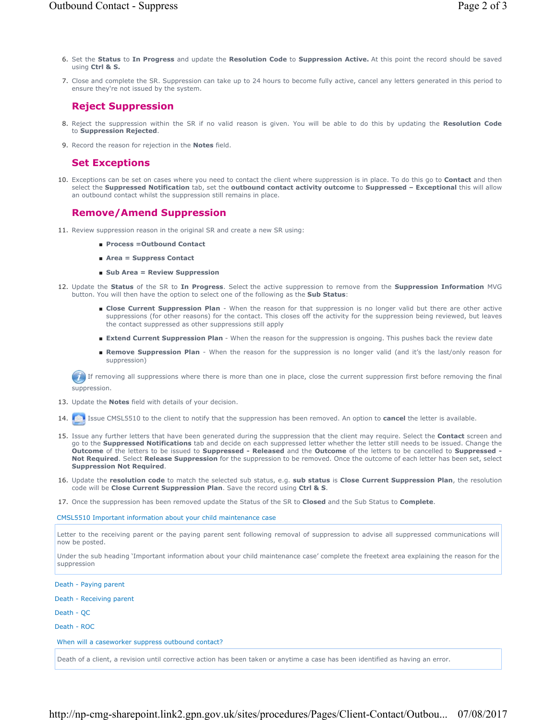- Set the **Status** to **In Progress** and update the **Resolution Code** to **Suppression Active.** At this point the record should be saved 6. using **Ctrl & S.**
- Close and complete the SR. Suppression can take up to 24 hours to become fully active, cancel any letters generated in this period to 7. ensure they're not issued by the system.

#### **Reject Suppression**

- Reject the suppression within the SR if no valid reason is given. You will be able to do this by updating the **Resolution Code** 8. to **Suppression Rejected**.
- 9. Record the reason for rejection in the **Notes** field.

### **Set Exceptions**

10. Exceptions can be set on cases where you need to contact the client where suppression is in place. To do this go to **Contact** and then select the **Suppressed Notification** tab, set the **outbound contact activity outcome** to **Suppressed – Exceptional** this will allow an outbound contact whilst the suppression still remains in place.

#### **Remove/Amend Suppression**

- 11. Review suppression reason in the original SR and create a new SR using:
	- **Process =Outbound Contact**
	- **Area = Suppress Contact**
	- Sub Area = Review Suppression
- 12. Update the Status of the SR to In Progress. Select the active suppression to remove from the Suppression Information MVG button. You will then have the option to select one of the following as the **Sub Status**:
	- Close Current Suppression Plan When the reason for that suppression is no longer valid but there are other active suppressions (for other reasons) for the contact. This closes off the activity for the suppression being reviewed, but leaves the contact suppressed as other suppressions still apply
	- **Extend Current Suppression Plan** When the reason for the suppression is ongoing. This pushes back the review date
	- Remove Suppression Plan When the reason for the suppression is no longer valid (and it's the last/only reason for suppression)

 $\Box$  If removing all suppressions where there is more than one in place, close the current suppression first before removing the final suppression.

- 13. Update the **Notes** field with details of your decision.
- 14. Issue CMSL5510 to the client to notify that the suppression has been removed. An option to **cancel** the letter is available.
- 15. Issue any further letters that have been generated during the suppression that the client may require. Select the **Contact** screen and go to the **Suppressed Notifications** tab and decide on each suppressed letter whether the letter still needs to be issued. Change the **Outcome** of the letters to be issued to **Suppressed - Released** and the **Outcome** of the letters to be cancelled to **Suppressed - Not Required**. Select **Release Suppression** for the suppression to be removed. Once the outcome of each letter has been set, select **Suppression Not Required**.
- 16. Update the **resolution code** to match the selected sub status, e.g. sub status is Close Current Suppression Plan, the resolution code will be **Close Current Suppression Plan**. Save the record using **Ctrl & S**.
- 17. Once the suppression has been removed update the Status of the SR to **Closed** and the Sub Status to **Complete**.

CMSL5510 Important information about your child maintenance case

Letter to the receiving parent or the paying parent sent following removal of suppression to advise all suppressed communications will now be posted.

Under the sub heading 'Important information about your child maintenance case' complete the freetext area explaining the reason for the suppression

Death - Paying parent Death - Receiving parent Death - QC Death - ROC When will a caseworker suppress outbound contact?

Death of a client, a revision until corrective action has been taken or anytime a case has been identified as having an error.